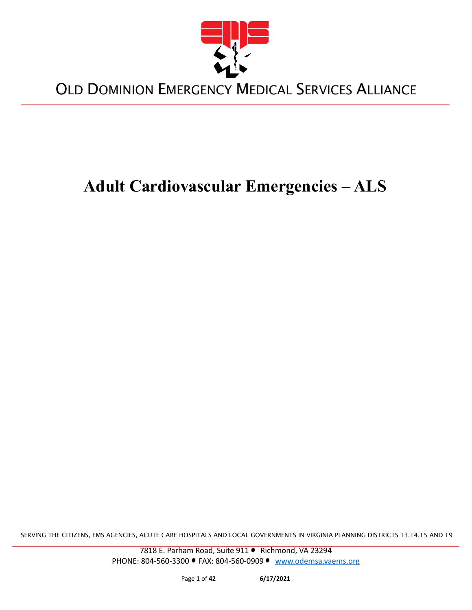

# **Adult Cardiovascular Emergencies – ALS**

SERVING THE CITIZENS, EMS AGENCIES, ACUTE CARE HOSPITALS AND LOCAL GOVERNMENTS IN VIRGINIA PLANNING DISTRICTS 13,14,15 AND 19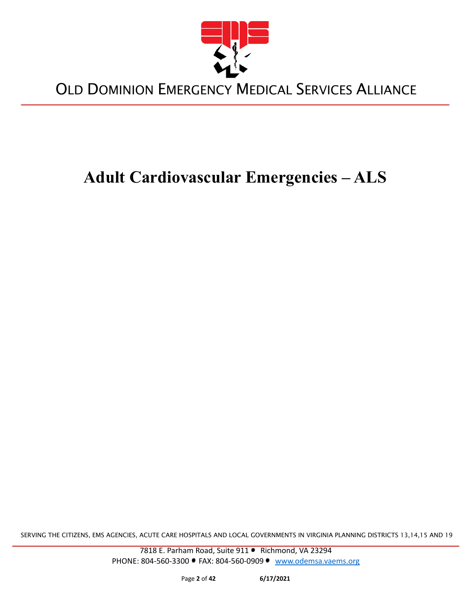

# **Adult Cardiovascular Emergencies – ALS**

SERVING THE CITIZENS, EMS AGENCIES, ACUTE CARE HOSPITALS AND LOCAL GOVERNMENTS IN VIRGINIA PLANNING DISTRICTS 13,14,15 AND 19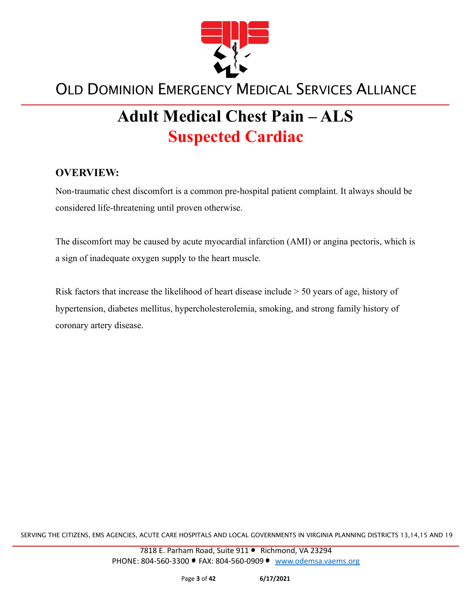

# **Adult Medical Chest Pain – ALS Suspected Cardiac**

#### **OVERVIEW:**

Non-traumatic chest discomfort is a common pre-hospital patient complaint. It always should be considered life-threatening until proven otherwise.

The discomfort may be caused by acute myocardial infarction (AMI) or angina pectoris, which is a sign of inadequate oxygen supply to the heart muscle.

Risk factors that increase the likelihood of heart disease include > 50 years of age, history of hypertension, diabetes mellitus, hypercholesterolemia, smoking, and strong family history of coronary artery disease.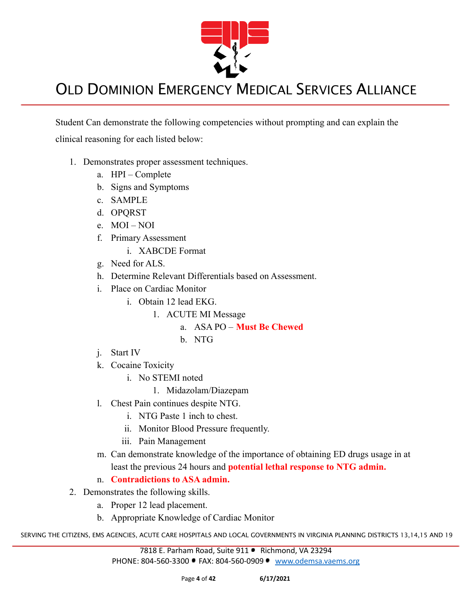

Student Can demonstrate the following competencies without prompting and can explain the clinical reasoning for each listed below:

- 1. Demonstrates proper assessment techniques.
	- a. HPI Complete
	- b. Signs and Symptoms
	- c. SAMPLE
	- d. OPQRST
	- e. MOI NOI
	- f. Primary Assessment
		- i. XABCDE Format
	- g. Need for ALS.
	- h. Determine Relevant Differentials based on Assessment.
	- i. Place on Cardiac Monitor
		- i. Obtain 12 lead EKG.
			- 1. ACUTE MI Message
				- a. ASA PO **Must Be Chewed**
				- b. NTG
	- j. Start IV
	- k. Cocaine Toxicity
		- i. No STEMI noted
			- 1. Midazolam/Diazepam
	- l. Chest Pain continues despite NTG.
		- i. NTG Paste 1 inch to chest.
		- ii. Monitor Blood Pressure frequently.
		- iii. Pain Management
	- m. Can demonstrate knowledge of the importance of obtaining ED drugs usage in at least the previous 24 hours and **potential lethal response to NTG admin.**
	- n. **Contradictions to ASA admin.**
- 2. Demonstrates the following skills.
	- a. Proper 12 lead placement.
	- b. Appropriate Knowledge of Cardiac Monitor

SERVING THE CITIZENS, EMS AGENCIES, ACUTE CARE HOSPITALS AND LOCAL GOVERNMENTS IN VIRGINIA PLANNING DISTRICTS 13,14,15 AND 19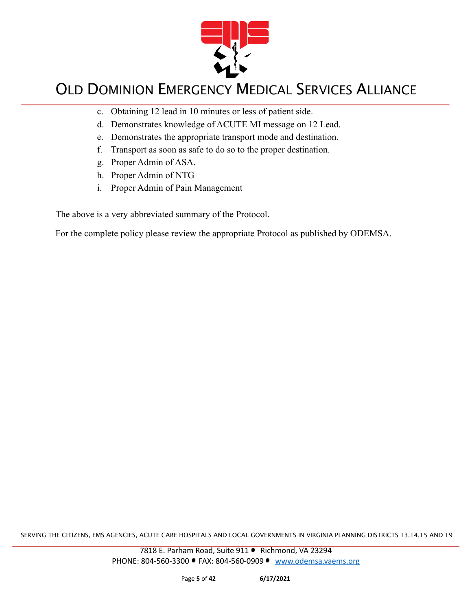

- c. Obtaining 12 lead in 10 minutes or less of patient side.
- d. Demonstrates knowledge of ACUTE MI message on 12 Lead.
- e. Demonstrates the appropriate transport mode and destination.
- f. Transport as soon as safe to do so to the proper destination.
- g. Proper Admin of ASA.
- h. Proper Admin of NTG
- i. Proper Admin of Pain Management

The above is a very abbreviated summary of the Protocol.

For the complete policy please review the appropriate Protocol as published by ODEMSA.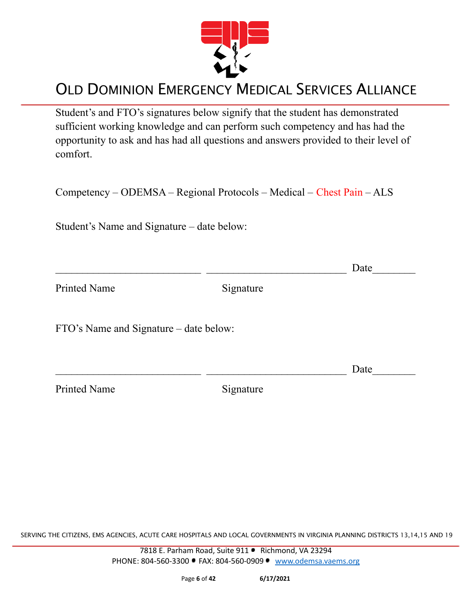

Student's and FTO's signatures below signify that the student has demonstrated sufficient working knowledge and can perform such competency and has had the opportunity to ask and has had all questions and answers provided to their level of comfort.

Competency – ODEMSA – Regional Protocols – Medical – Chest Pain – ALS

Student's Name and Signature – date below:

|                                        |           | Date |
|----------------------------------------|-----------|------|
| <b>Printed Name</b>                    | Signature |      |
| FTO's Name and Signature – date below: |           |      |
|                                        |           | Date |
| <b>Printed Name</b>                    | Signature |      |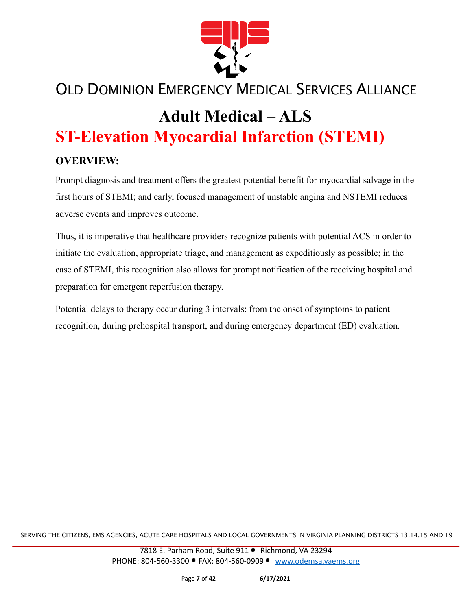

# **Adult Medical – ALS ST-Elevation Myocardial Infarction (STEMI)**

#### **OVERVIEW:**

Prompt diagnosis and treatment offers the greatest potential benefit for myocardial salvage in the first hours of STEMI; and early, focused management of unstable angina and NSTEMI reduces adverse events and improves outcome.

Thus, it is imperative that healthcare providers recognize patients with potential ACS in order to initiate the evaluation, appropriate triage, and management as expeditiously as possible; in the case of STEMI, this recognition also allows for prompt notification of the receiving hospital and preparation for emergent reperfusion therapy.

Potential delays to therapy occur during 3 intervals: from the onset of symptoms to patient recognition, during prehospital transport, and during emergency department (ED) evaluation.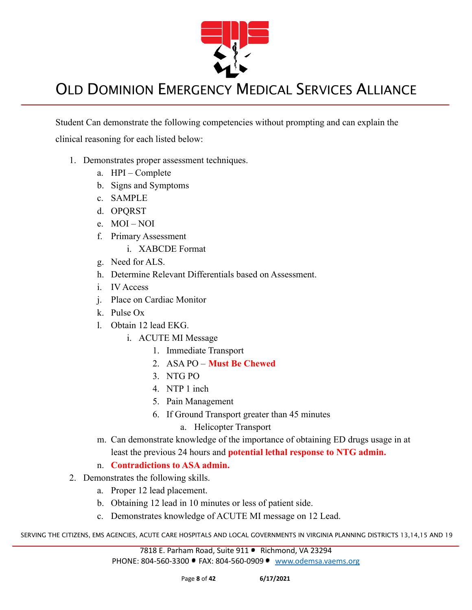

Student Can demonstrate the following competencies without prompting and can explain the clinical reasoning for each listed below:

- 1. Demonstrates proper assessment techniques.
	- a. HPI Complete
	- b. Signs and Symptoms
	- c. SAMPLE
	- d. OPQRST
	- e. MOI NOI
	- f. Primary Assessment
		- i. XABCDE Format
	- g. Need for ALS.
	- h. Determine Relevant Differentials based on Assessment.
	- i. IV Access
	- j. Place on Cardiac Monitor
	- k. Pulse Ox
	- l. Obtain 12 lead EKG.
		- i. ACUTE MI Message
			- 1. Immediate Transport
			- 2. ASA PO **Must Be Chewed**
			- 3. NTG PO
			- 4. NTP 1 inch
			- 5. Pain Management
			- 6. If Ground Transport greater than 45 minutes
				- a. Helicopter Transport
	- m. Can demonstrate knowledge of the importance of obtaining ED drugs usage in at least the previous 24 hours and **potential lethal response to NTG admin.**
	- n. **Contradictions to ASA admin.**
- 2. Demonstrates the following skills.
	- a. Proper 12 lead placement.
	- b. Obtaining 12 lead in 10 minutes or less of patient side.
	- c. Demonstrates knowledge of ACUTE MI message on 12 Lead.

SERVING THE CITIZENS, EMS AGENCIES, ACUTE CARE HOSPITALS AND LOCAL GOVERNMENTS IN VIRGINIA PLANNING DISTRICTS 13,14,15 AND 19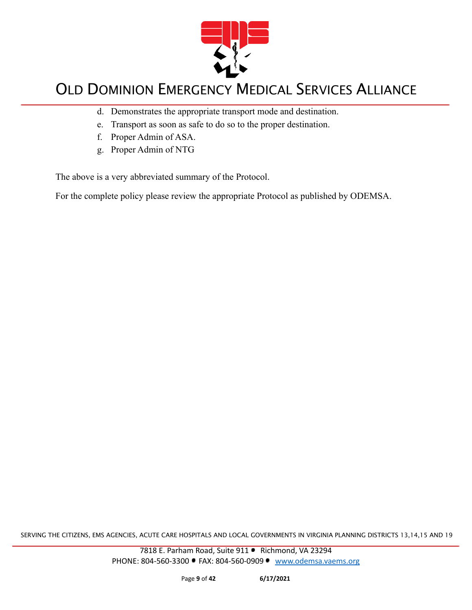

- d. Demonstrates the appropriate transport mode and destination.
- e. Transport as soon as safe to do so to the proper destination.
- f. Proper Admin of ASA.
- g. Proper Admin of NTG

The above is a very abbreviated summary of the Protocol.

For the complete policy please review the appropriate Protocol as published by ODEMSA.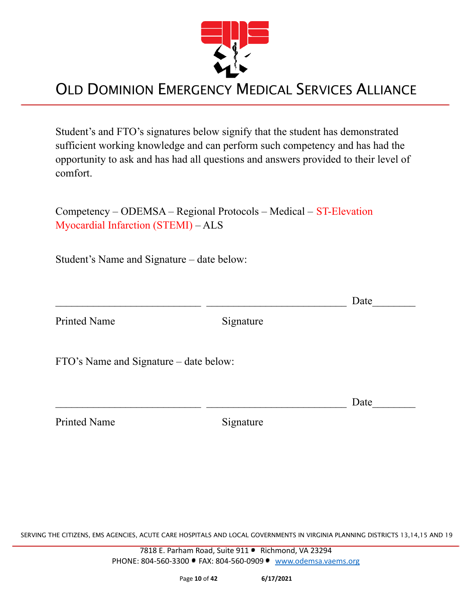

Student's and FTO's signatures below signify that the student has demonstrated sufficient working knowledge and can perform such competency and has had the opportunity to ask and has had all questions and answers provided to their level of comfort.

Competency – ODEMSA – Regional Protocols – Medical – ST-Elevation Myocardial Infarction (STEMI) – ALS

Student's Name and Signature – date below:

Printed Name Signature

FTO's Name and Signature – date below:

Printed Name Signature

SERVING THE CITIZENS, EMS AGENCIES, ACUTE CARE HOSPITALS AND LOCAL GOVERNMENTS IN VIRGINIA PLANNING DISTRICTS 13,14,15 AND 19

7818 E. Parham Road, Suite 911 · Richmond, VA 23294 PHONE: 804-560-3300 • FAX: 804-560-0909 • [www.odemsa.vaems.org](http://www.odemsa.vaems.org)

 $\Box$  Date

 $\Box$  Date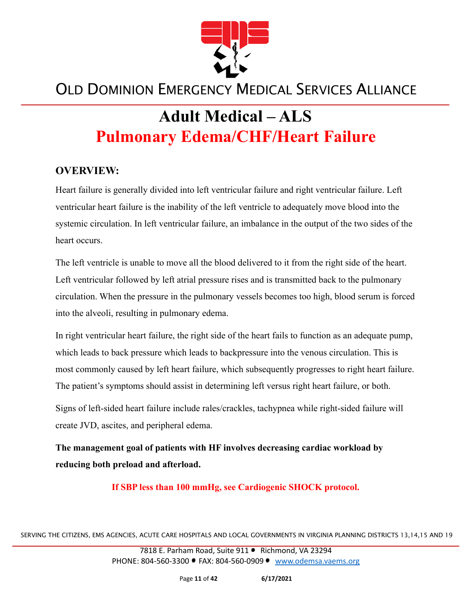

# **Adult Medical – ALS Pulmonary Edema/CHF/Heart Failure**

#### **OVERVIEW:**

Heart failure is generally divided into left ventricular failure and right ventricular failure. Left ventricular heart failure is the inability of the left ventricle to adequately move blood into the systemic circulation. In left ventricular failure, an imbalance in the output of the two sides of the heart occurs.

The left ventricle is unable to move all the blood delivered to it from the right side of the heart. Left ventricular followed by left atrial pressure rises and is transmitted back to the pulmonary circulation. When the pressure in the pulmonary vessels becomes too high, blood serum is forced into the alveoli, resulting in pulmonary edema.

In right ventricular heart failure, the right side of the heart fails to function as an adequate pump, which leads to back pressure which leads to backpressure into the venous circulation. This is most commonly caused by left heart failure, which subsequently progresses to right heart failure. The patient's symptoms should assist in determining left versus right heart failure, or both.

Signs of left-sided heart failure include rales/crackles, tachypnea while right-sided failure will create JVD, ascites, and peripheral edema.

**The management goal of patients with HF involves decreasing cardiac workload by reducing both preload and afterload.**

**If SBP less than 100 mmHg, see Cardiogenic SHOCK protocol.**

SERVING THE CITIZENS, EMS AGENCIES, ACUTE CARE HOSPITALS AND LOCAL GOVERNMENTS IN VIRGINIA PLANNING DISTRICTS 13,14,15 AND 19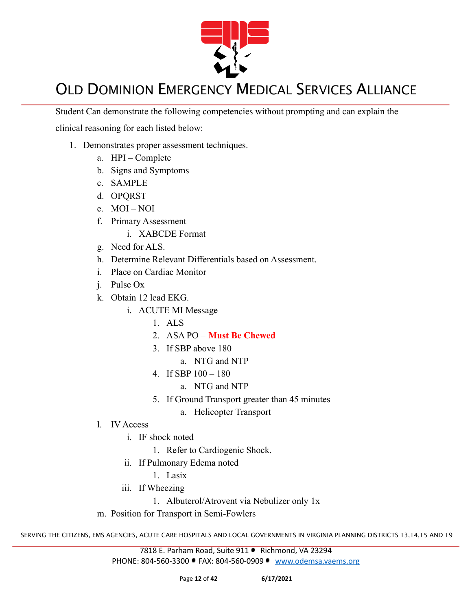

Student Can demonstrate the following competencies without prompting and can explain the

clinical reasoning for each listed below:

- 1. Demonstrates proper assessment techniques.
	- a. HPI Complete
	- b. Signs and Symptoms
	- c. SAMPLE
	- d. OPQRST
	- e. MOI NOI
	- f. Primary Assessment
		- i. XABCDE Format
	- g. Need for ALS.
	- h. Determine Relevant Differentials based on Assessment.
	- i. Place on Cardiac Monitor
	- j. Pulse Ox
	- k. Obtain 12 lead EKG.
		- i. ACUTE MI Message
			- 1. ALS
			- 2. ASA PO **Must Be Chewed**
			- 3. If SBP above 180
				- a. NTG and NTP
			- 4. If SBP 100 180
				- a. NTG and NTP
			- 5. If Ground Transport greater than 45 minutes
				- a. Helicopter Transport
	- l. IV Access
		- i. IF shock noted
			- 1. Refer to Cardiogenic Shock.
		- ii. If Pulmonary Edema noted
			- 1. Lasix
		- iii. If Wheezing
			- 1. Albuterol/Atrovent via Nebulizer only 1x
	- m. Position for Transport in Semi-Fowlers

SERVING THE CITIZENS, EMS AGENCIES, ACUTE CARE HOSPITALS AND LOCAL GOVERNMENTS IN VIRGINIA PLANNING DISTRICTS 13,14,15 AND 19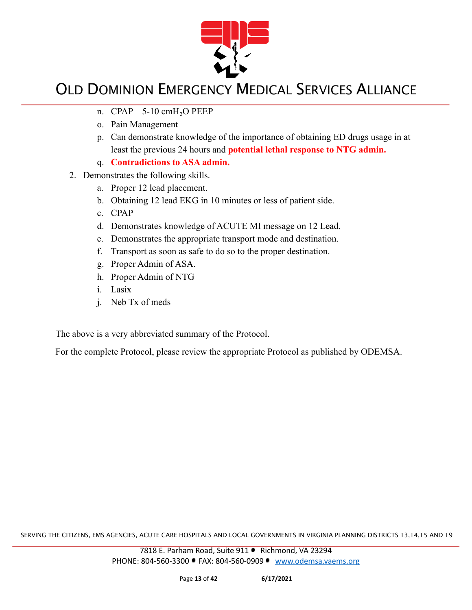

- n.  $CPAP 5-10 \text{ cm}H<sub>2</sub>O PEEP$
- o. Pain Management
- p. Can demonstrate knowledge of the importance of obtaining ED drugs usage in at least the previous 24 hours and **potential lethal response to NTG admin.**
- q. **Contradictions to ASA admin.**
- 2. Demonstrates the following skills.
	- a. Proper 12 lead placement.
	- b. Obtaining 12 lead EKG in 10 minutes or less of patient side.
	- c. CPAP
	- d. Demonstrates knowledge of ACUTE MI message on 12 Lead.
	- e. Demonstrates the appropriate transport mode and destination.
	- f. Transport as soon as safe to do so to the proper destination.
	- g. Proper Admin of ASA.
	- h. Proper Admin of NTG
	- i. Lasix
	- j. Neb Tx of meds

The above is a very abbreviated summary of the Protocol.

For the complete Protocol, please review the appropriate Protocol as published by ODEMSA.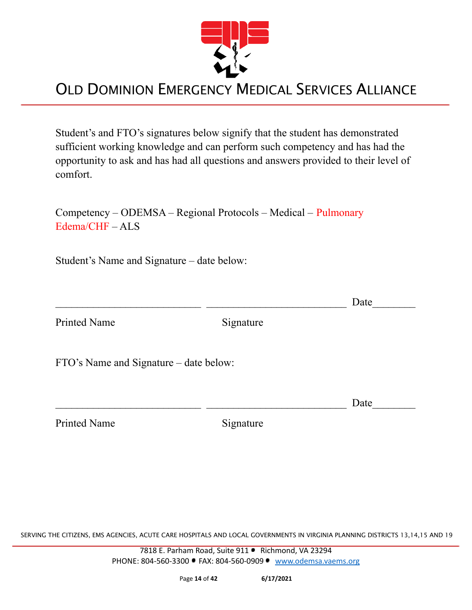

Student's and FTO's signatures below signify that the student has demonstrated sufficient working knowledge and can perform such competency and has had the opportunity to ask and has had all questions and answers provided to their level of comfort.

Competency – ODEMSA – Regional Protocols – Medical – Pulmonary Edema/CHF – ALS

Student's Name and Signature – date below:

 $\Box$  Date

Printed Name Signature

FTO's Name and Signature – date below:

Printed Name Signature

 $\Box$  Date

SERVING THE CITIZENS, EMS AGENCIES, ACUTE CARE HOSPITALS AND LOCAL GOVERNMENTS IN VIRGINIA PLANNING DISTRICTS 13,14,15 AND 19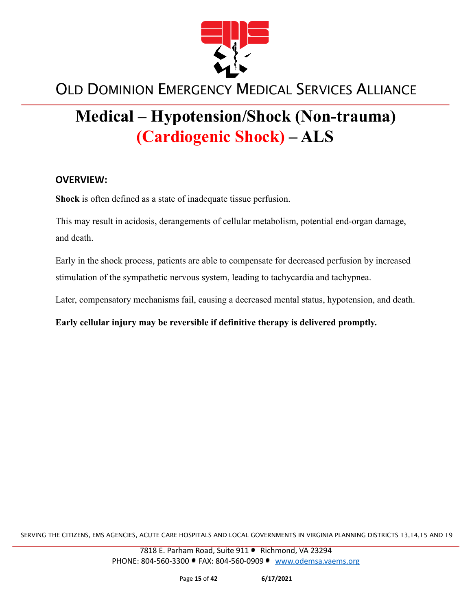

# **Medical – Hypotension/Shock (Non-trauma) (Cardiogenic Shock) – ALS**

#### **OVERVIEW:**

**Shock** is often defined as a state of inadequate tissue perfusion.

This may result in acidosis, derangements of cellular metabolism, potential end-organ damage, and death.

Early in the shock process, patients are able to compensate for decreased perfusion by increased stimulation of the sympathetic nervous system, leading to tachycardia and tachypnea.

Later, compensatory mechanisms fail, causing a decreased mental status, hypotension, and death.

**Early cellular injury may be reversible if definitive therapy is delivered promptly.**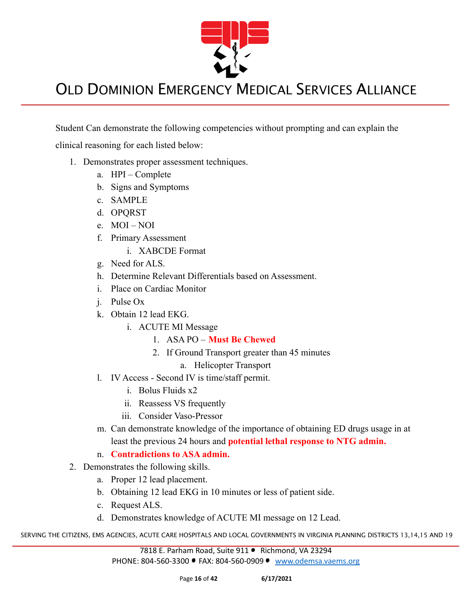

Student Can demonstrate the following competencies without prompting and can explain the

clinical reasoning for each listed below:

- 1. Demonstrates proper assessment techniques.
	- a. HPI Complete
	- b. Signs and Symptoms
	- c. SAMPLE
	- d. OPQRST
	- e. MOI NOI
	- f. Primary Assessment
		- i. XABCDE Format
	- g. Need for ALS.
	- h. Determine Relevant Differentials based on Assessment.
	- i. Place on Cardiac Monitor
	- j. Pulse Ox
	- k. Obtain 12 lead EKG.
		- i. ACUTE MI Message
			- 1. ASA PO **Must Be Chewed**
			- 2. If Ground Transport greater than 45 minutes
				- a. Helicopter Transport
	- l. IV Access Second IV is time/staff permit.
		- i. Bolus Fluids x2
		- ii. Reassess VS frequently
		- iii. Consider Vaso-Pressor
	- m. Can demonstrate knowledge of the importance of obtaining ED drugs usage in at least the previous 24 hours and **potential lethal response to NTG admin.**
	- n. **Contradictions to ASA admin.**
- 2. Demonstrates the following skills.
	- a. Proper 12 lead placement.
	- b. Obtaining 12 lead EKG in 10 minutes or less of patient side.
	- c. Request ALS.
	- d. Demonstrates knowledge of ACUTE MI message on 12 Lead.

SERVING THE CITIZENS, EMS AGENCIES, ACUTE CARE HOSPITALS AND LOCAL GOVERNMENTS IN VIRGINIA PLANNING DISTRICTS 13,14,15 AND 19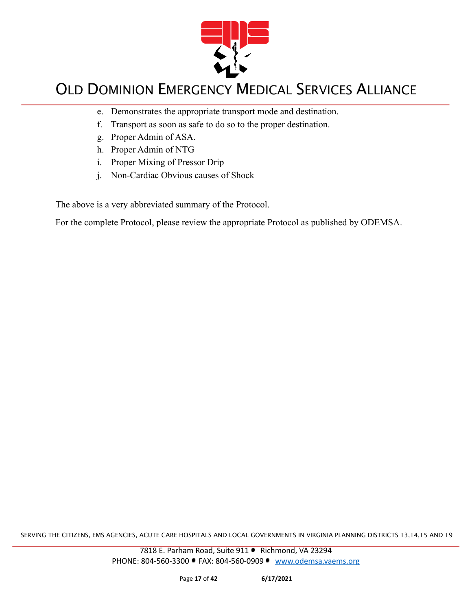

- e. Demonstrates the appropriate transport mode and destination.
- f. Transport as soon as safe to do so to the proper destination.
- g. Proper Admin of ASA.
- h. Proper Admin of NTG
- i. Proper Mixing of Pressor Drip
- j. Non-Cardiac Obvious causes of Shock

The above is a very abbreviated summary of the Protocol.

For the complete Protocol, please review the appropriate Protocol as published by ODEMSA.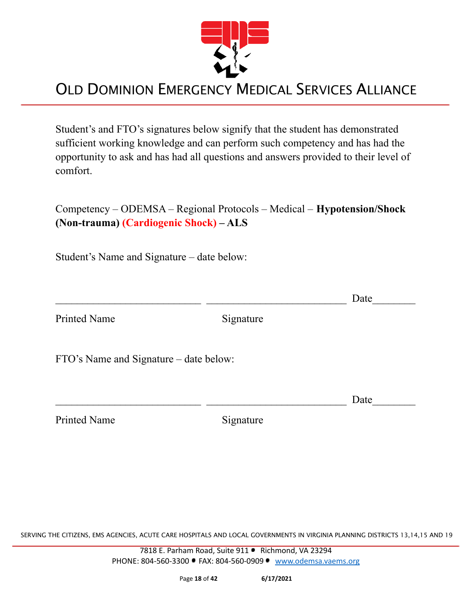

Student's and FTO's signatures below signify that the student has demonstrated sufficient working knowledge and can perform such competency and has had the opportunity to ask and has had all questions and answers provided to their level of comfort.

Competency – ODEMSA – Regional Protocols – Medical – **Hypotension/Shock (Non-trauma) (Cardiogenic Shock) – ALS**

Student's Name and Signature – date below:

Printed Name Signature

 $\Box$  Date

FTO's Name and Signature – date below:

Printed Name Signature

 $\Box$  Date

SERVING THE CITIZENS, EMS AGENCIES, ACUTE CARE HOSPITALS AND LOCAL GOVERNMENTS IN VIRGINIA PLANNING DISTRICTS 13,14,15 AND 19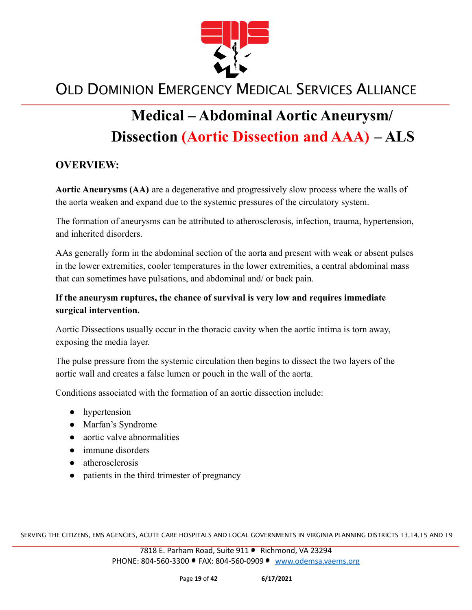

# **Medical – Abdominal Aortic Aneurysm/ Dissection (Aortic Dissection and AAA) – ALS**

#### **OVERVIEW:**

**Aortic Aneurysms (AA)** are a degenerative and progressively slow process where the walls of the aorta weaken and expand due to the systemic pressures of the circulatory system.

The formation of aneurysms can be attributed to atherosclerosis, infection, trauma, hypertension, and inherited disorders.

AAs generally form in the abdominal section of the aorta and present with weak or absent pulses in the lower extremities, cooler temperatures in the lower extremities, a central abdominal mass that can sometimes have pulsations, and abdominal and/ or back pain.

#### **If the aneurysm ruptures, the chance of survival is very low and requires immediate surgical intervention.**

Aortic Dissections usually occur in the thoracic cavity when the aortic intima is torn away, exposing the media layer.

The pulse pressure from the systemic circulation then begins to dissect the two layers of the aortic wall and creates a false lumen or pouch in the wall of the aorta.

Conditions associated with the formation of an aortic dissection include:

- **●** hypertension
- **●** Marfan's Syndrome
- **●** aortic valve abnormalities
- **●** immune disorders
- **●** atherosclerosis
- patients in the third trimester of pregnancy

SERVING THE CITIZENS, EMS AGENCIES, ACUTE CARE HOSPITALS AND LOCAL GOVERNMENTS IN VIRGINIA PLANNING DISTRICTS 13,14,15 AND 19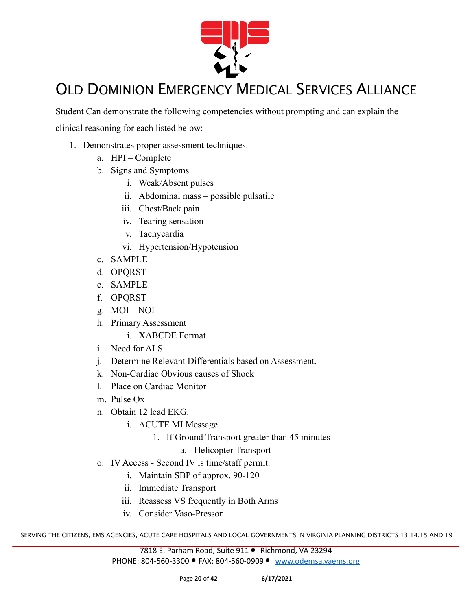

Student Can demonstrate the following competencies without prompting and can explain the

clinical reasoning for each listed below:

- 1. Demonstrates proper assessment techniques.
	- a. HPI Complete
	- b. Signs and Symptoms
		- i. Weak/Absent pulses
		- ii. Abdominal mass possible pulsatile
		- iii. Chest/Back pain
		- iv. Tearing sensation
		- v. Tachycardia
		- vi. Hypertension/Hypotension
	- c. SAMPLE
	- d. OPQRST
	- e. SAMPLE
	- f. OPQRST
	- g. MOI NOI
	- h. Primary Assessment
		- i. XABCDE Format
	- i. Need for ALS.
	- j. Determine Relevant Differentials based on Assessment.
	- k. Non-Cardiac Obvious causes of Shock
	- l. Place on Cardiac Monitor
	- m. Pulse Ox
	- n. Obtain 12 lead EKG.
		- i. ACUTE MI Message
			- 1. If Ground Transport greater than 45 minutes
				- a. Helicopter Transport
	- o. IV Access Second IV is time/staff permit.
		- i. Maintain SBP of approx. 90-120
		- ii. Immediate Transport
		- iii. Reassess VS frequently in Both Arms
		- iv. Consider Vaso-Pressor

SERVING THE CITIZENS, EMS AGENCIES, ACUTE CARE HOSPITALS AND LOCAL GOVERNMENTS IN VIRGINIA PLANNING DISTRICTS 13,14,15 AND 19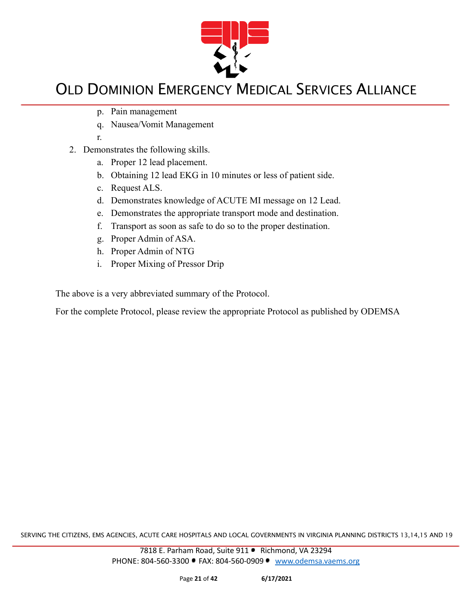

- p. Pain management
- q. Nausea/Vomit Management
- r.
- 2. Demonstrates the following skills.
	- a. Proper 12 lead placement.
	- b. Obtaining 12 lead EKG in 10 minutes or less of patient side.
	- c. Request ALS.
	- d. Demonstrates knowledge of ACUTE MI message on 12 Lead.
	- e. Demonstrates the appropriate transport mode and destination.
	- f. Transport as soon as safe to do so to the proper destination.
	- g. Proper Admin of ASA.
	- h. Proper Admin of NTG
	- i. Proper Mixing of Pressor Drip

The above is a very abbreviated summary of the Protocol.

For the complete Protocol, please review the appropriate Protocol as published by ODEMSA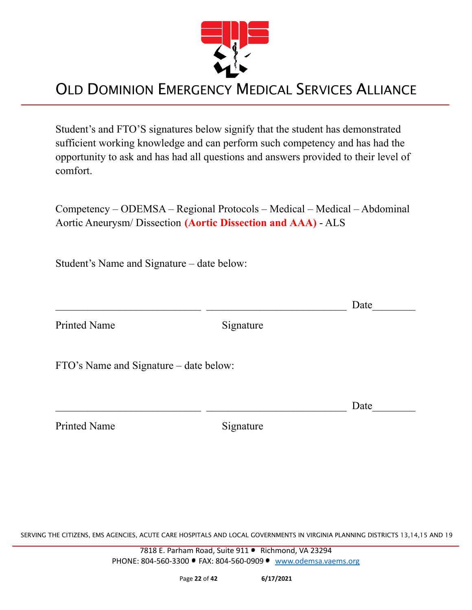

Student's and FTO'S signatures below signify that the student has demonstrated sufficient working knowledge and can perform such competency and has had the opportunity to ask and has had all questions and answers provided to their level of comfort.

Competency – ODEMSA – Regional Protocols – Medical – Medical – Abdominal Aortic Aneurysm/ Dissection **(Aortic Dissection and AAA)** - ALS

Student's Name and Signature – date below:

|                                        |           | Date |
|----------------------------------------|-----------|------|
| <b>Printed Name</b>                    | Signature |      |
| FTO's Name and Signature – date below: |           |      |
|                                        |           | Date |
| <b>Printed Name</b>                    | Signature |      |

SERVING THE CITIZENS, EMS AGENCIES, ACUTE CARE HOSPITALS AND LOCAL GOVERNMENTS IN VIRGINIA PLANNING DISTRICTS 13,14,15 AND 19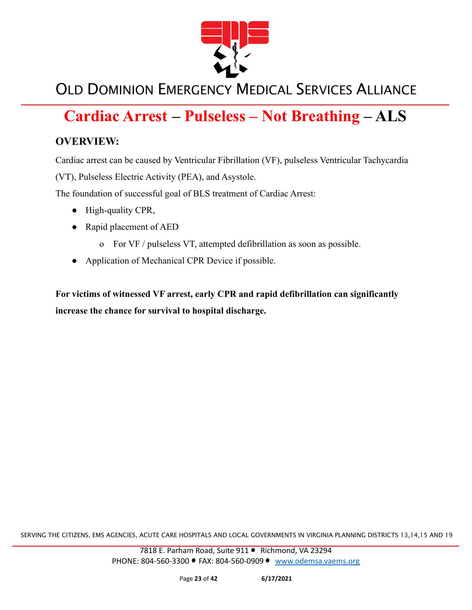

## **Cardiac Arrest – Pulseless – Not Breathing – ALS**

#### **OVERVIEW:**

Cardiac arrest can be caused by Ventricular Fibrillation (VF), pulseless Ventricular Tachycardia

(VT), Pulseless Electric Activity (PEA), and Asystole.

The foundation of successful goal of BLS treatment of Cardiac Arrest:

- High-quality CPR,
- Rapid placement of AED
	- o For VF / pulseless VT, attempted defibrillation as soon as possible.
- Application of Mechanical CPR Device if possible.

**For victims of witnessed VF arrest, early CPR and rapid defibrillation can significantly increase the chance for survival to hospital discharge.**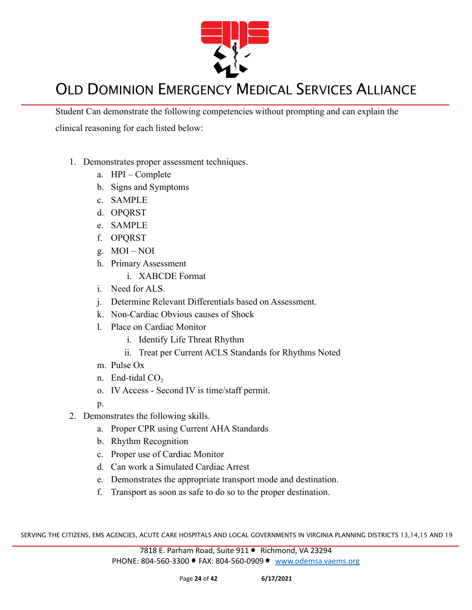

Student Can demonstrate the following competencies without prompting and can explain the clinical reasoning for each listed below:

- 1. Demonstrates proper assessment techniques.
	- a. HPI Complete
	- b. Signs and Symptoms
	- c. SAMPLE
	- d. OPQRST
	- e. SAMPLE
	- f. OPQRST
	- g. MOI NOI
	- h. Primary Assessment
		- i. XABCDE Format
	- i. Need for ALS.
	- j. Determine Relevant Differentials based on Assessment.
	- k. Non-Cardiac Obvious causes of Shock
	- l. Place on Cardiac Monitor
		- i. Identify Life Threat Rhythm
		- ii. Treat per Current ACLS Standards for Rhythms Noted
	- m. Pulse Ox
	- n. End-tidal  $CO<sub>2</sub>$
	- o. IV Access Second IV is time/staff permit.
	- $p_{\cdot}$
- 2. Demonstrates the following skills.
	- a. Proper CPR using Current AHA Standards
	- b. Rhythm Recognition
	- c. Proper use of Cardiac Monitor
	- d. Can work a Simulated Cardiac Arrest
	- e. Demonstrates the appropriate transport mode and destination.
	- f. Transport as soon as safe to do so to the proper destination.

SERVING THE CITIZENS, EMS AGENCIES, ACUTE CARE HOSPITALS AND LOCAL GOVERNMENTS IN VIRGINIA PLANNING DISTRICTS 13,14,15 AND 19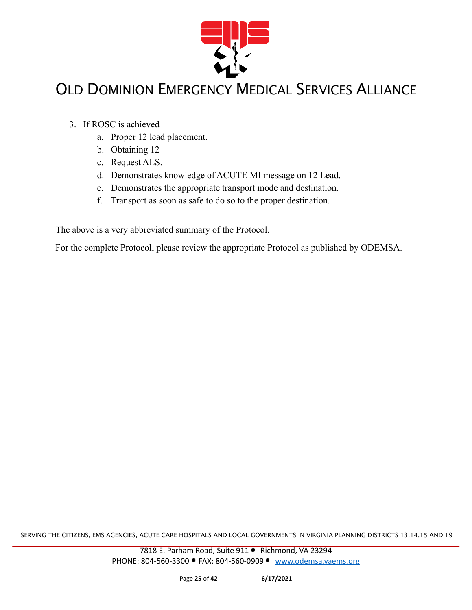

- 3. If ROSC is achieved
	- a. Proper 12 lead placement.
	- b. Obtaining 12
	- c. Request ALS.
	- d. Demonstrates knowledge of ACUTE MI message on 12 Lead.
	- e. Demonstrates the appropriate transport mode and destination.
	- f. Transport as soon as safe to do so to the proper destination.

The above is a very abbreviated summary of the Protocol.

For the complete Protocol, please review the appropriate Protocol as published by ODEMSA.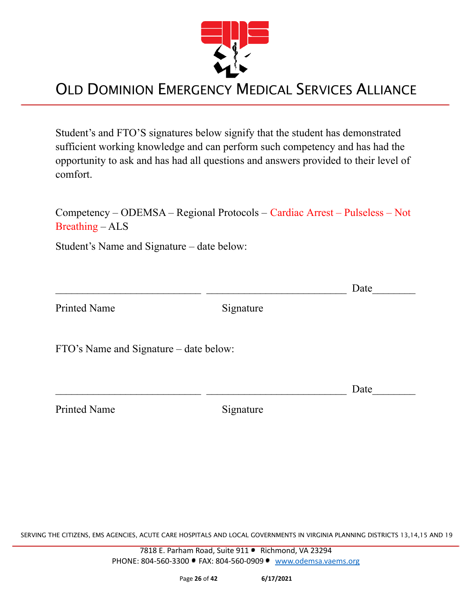

Student's and FTO'S signatures below signify that the student has demonstrated sufficient working knowledge and can perform such competency and has had the opportunity to ask and has had all questions and answers provided to their level of comfort.

Competency – ODEMSA – Regional Protocols – Cardiac Arrest – Pulseless – Not Breathing – ALS

Student's Name and Signature – date below:

 $\Box$  Date Printed Name Signature FTO's Name and Signature – date below:  $\Box$  Date

Printed Name Signature

SERVING THE CITIZENS, EMS AGENCIES, ACUTE CARE HOSPITALS AND LOCAL GOVERNMENTS IN VIRGINIA PLANNING DISTRICTS 13,14,15 AND 19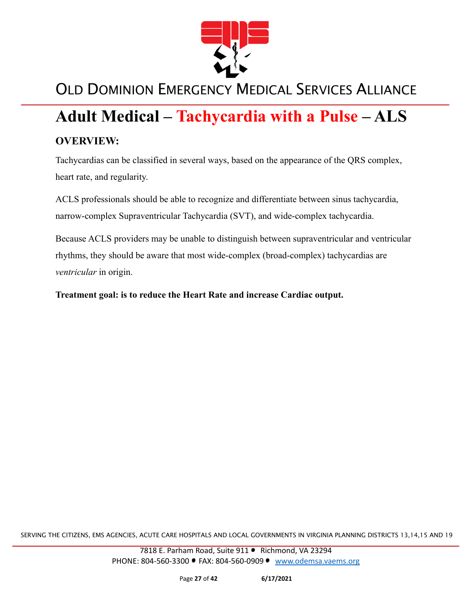

## **Adult Medical – Tachycardia with a Pulse – ALS**

#### **OVERVIEW:**

Tachycardias can be classified in several ways, based on the appearance of the QRS complex, heart rate, and regularity.

ACLS professionals should be able to recognize and differentiate between sinus tachycardia, narrow-complex Supraventricular Tachycardia (SVT), and wide-complex tachycardia.

Because ACLS providers may be unable to distinguish between supraventricular and ventricular rhythms, they should be aware that most wide-complex (broad-complex) tachycardias are *ventricular* in origin.

**Treatment goal: is to reduce the Heart Rate and increase Cardiac output.**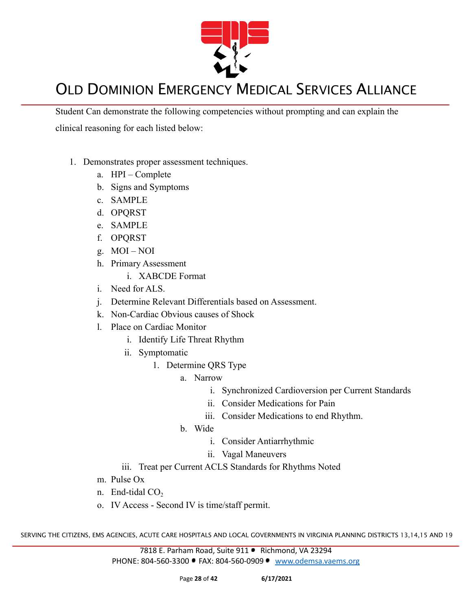

Student Can demonstrate the following competencies without prompting and can explain the clinical reasoning for each listed below:

- 1. Demonstrates proper assessment techniques.
	- a. HPI Complete
	- b. Signs and Symptoms
	- c. SAMPLE
	- d. OPQRST
	- e. SAMPLE
	- f. OPQRST
	- g. MOI NOI
	- h. Primary Assessment
		- i. XABCDE Format
	- i. Need for ALS.
	- j. Determine Relevant Differentials based on Assessment.
	- k. Non-Cardiac Obvious causes of Shock
	- l. Place on Cardiac Monitor
		- i. Identify Life Threat Rhythm
		- ii. Symptomatic
			- 1. Determine QRS Type
				- a. Narrow
					- i. Synchronized Cardioversion per Current Standards
					- ii. Consider Medications for Pain
					- iii. Consider Medications to end Rhythm.
				- b. Wide
					- i. Consider Antiarrhythmic
					- ii. Vagal Maneuvers
		- iii. Treat per Current ACLS Standards for Rhythms Noted
	- m. Pulse Ox
	- n. End-tidal  $CO<sub>2</sub>$
	- o. IV Access Second IV is time/staff permit.

SERVING THE CITIZENS, EMS AGENCIES, ACUTE CARE HOSPITALS AND LOCAL GOVERNMENTS IN VIRGINIA PLANNING DISTRICTS 13,14,15 AND 19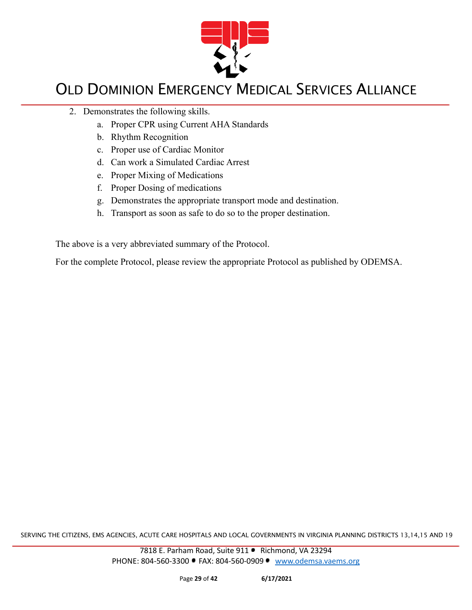

- 2. Demonstrates the following skills.
	- a. Proper CPR using Current AHA Standards
	- b. Rhythm Recognition
	- c. Proper use of Cardiac Monitor
	- d. Can work a Simulated Cardiac Arrest
	- e. Proper Mixing of Medications
	- f. Proper Dosing of medications
	- g. Demonstrates the appropriate transport mode and destination.
	- h. Transport as soon as safe to do so to the proper destination.

The above is a very abbreviated summary of the Protocol.

For the complete Protocol, please review the appropriate Protocol as published by ODEMSA.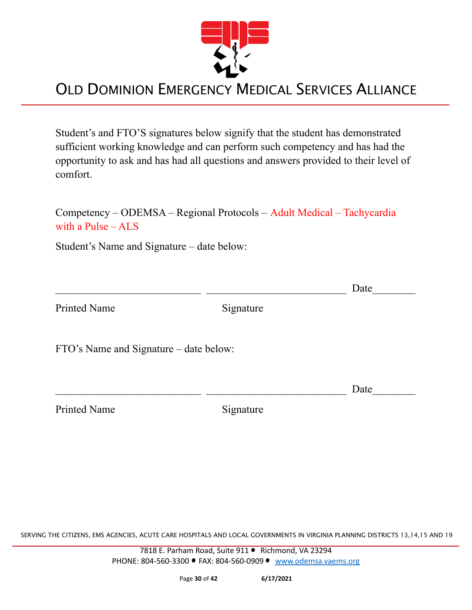

Student's and FTO'S signatures below signify that the student has demonstrated sufficient working knowledge and can perform such competency and has had the opportunity to ask and has had all questions and answers provided to their level of comfort.

Competency – ODEMSA – Regional Protocols – Adult Medical – Tachycardia with a Pulse – ALS

Student's Name and Signature – date below:

 $\Box$  Date Printed Name Signature FTO's Name and Signature – date below:  $\Box$  Date

Printed Name Signature

SERVING THE CITIZENS, EMS AGENCIES, ACUTE CARE HOSPITALS AND LOCAL GOVERNMENTS IN VIRGINIA PLANNING DISTRICTS 13,14,15 AND 19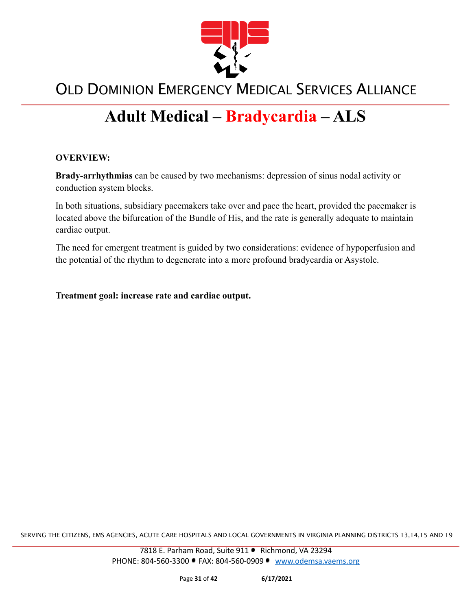

# **Adult Medical – Bradycardia – ALS**

#### **OVERVIEW:**

**Brady-arrhythmias** can be caused by two mechanisms: depression of sinus nodal activity or conduction system blocks.

In both situations, subsidiary pacemakers take over and pace the heart, provided the pacemaker is located above the bifurcation of the Bundle of His, and the rate is generally adequate to maintain cardiac output.

The need for emergent treatment is guided by two considerations: evidence of hypoperfusion and the potential of the rhythm to degenerate into a more profound bradycardia or Asystole.

**Treatment goal: increase rate and cardiac output.**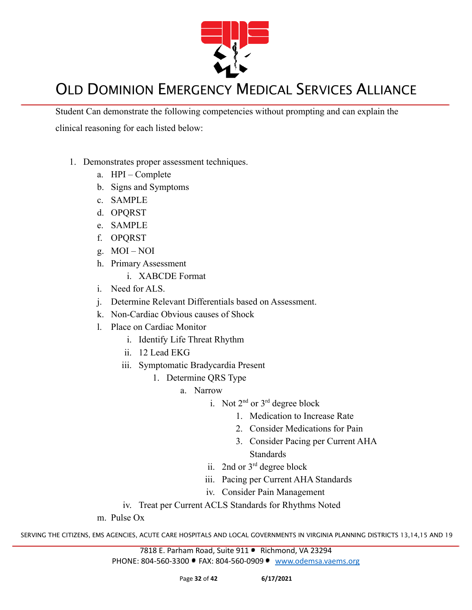

Student Can demonstrate the following competencies without prompting and can explain the clinical reasoning for each listed below:

- 1. Demonstrates proper assessment techniques.
	- a. HPI Complete
	- b. Signs and Symptoms
	- c. SAMPLE
	- d. OPQRST
	- e. SAMPLE
	- f. OPQRST
	- g. MOI NOI
	- h. Primary Assessment
		- i. XABCDE Format
	- i. Need for ALS.
	- j. Determine Relevant Differentials based on Assessment.
	- k. Non-Cardiac Obvious causes of Shock
	- l. Place on Cardiac Monitor
		- i. Identify Life Threat Rhythm
		- ii. 12 Lead EKG
		- iii. Symptomatic Bradycardia Present
			- 1. Determine QRS Type
				- a. Narrow
					- i. Not  $2^{nd}$  or  $3^{rd}$  degree block
						- 1. Medication to Increase Rate
							- 2. Consider Medications for Pain
							- 3. Consider Pacing per Current AHA **Standards**
					- ii. 2nd or 3rd degree block
					- iii. Pacing per Current AHA Standards
					- iv. Consider Pain Management
		- iv. Treat per Current ACLS Standards for Rhythms Noted
	- m. Pulse Ox

SERVING THE CITIZENS, EMS AGENCIES, ACUTE CARE HOSPITALS AND LOCAL GOVERNMENTS IN VIRGINIA PLANNING DISTRICTS 13,14,15 AND 19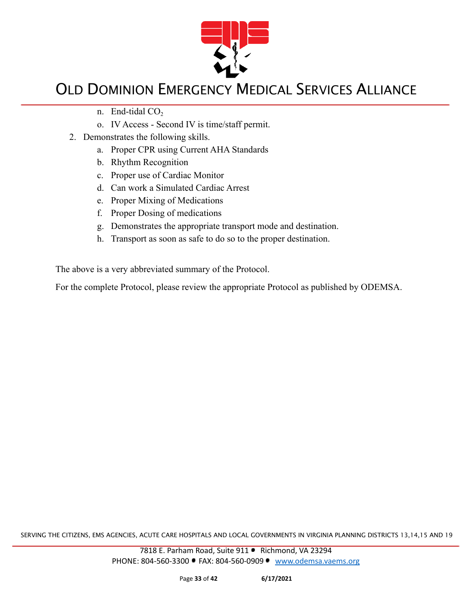

- n. End-tidal  $CO<sub>2</sub>$
- o. IV Access Second IV is time/staff permit.
- 2. Demonstrates the following skills.
	- a. Proper CPR using Current AHA Standards
	- b. Rhythm Recognition
	- c. Proper use of Cardiac Monitor
	- d. Can work a Simulated Cardiac Arrest
	- e. Proper Mixing of Medications
	- f. Proper Dosing of medications
	- g. Demonstrates the appropriate transport mode and destination.
	- h. Transport as soon as safe to do so to the proper destination.

The above is a very abbreviated summary of the Protocol.

For the complete Protocol, please review the appropriate Protocol as published by ODEMSA.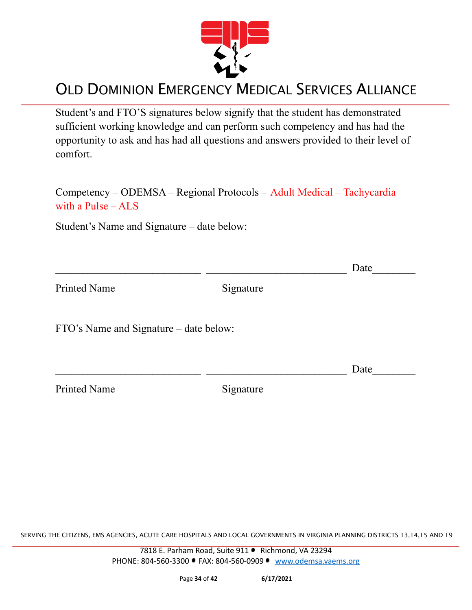

Student's and FTO'S signatures below signify that the student has demonstrated sufficient working knowledge and can perform such competency and has had the opportunity to ask and has had all questions and answers provided to their level of comfort.

Competency – ODEMSA – Regional Protocols – Adult Medical – Tachycardia with a Pulse – ALS

Student's Name and Signature – date below:

|                                        |           | Date |
|----------------------------------------|-----------|------|
| <b>Printed Name</b>                    | Signature |      |
| FTO's Name and Signature – date below: |           |      |
|                                        |           | Date |
| <b>Printed Name</b>                    | Signature |      |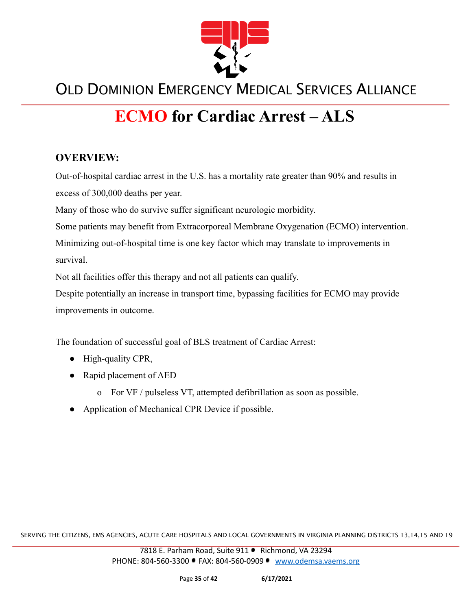

# **ECMO for Cardiac Arrest – ALS**

#### **OVERVIEW:**

Out-of-hospital cardiac arrest in the U.S. has a mortality rate greater than 90% and results in excess of 300,000 deaths per year.

Many of those who do survive suffer significant neurologic morbidity.

Some patients may benefit from Extracorporeal Membrane Oxygenation (ECMO) intervention.

Minimizing out-of-hospital time is one key factor which may translate to improvements in survival.

Not all facilities offer this therapy and not all patients can qualify.

Despite potentially an increase in transport time, bypassing facilities for ECMO may provide improvements in outcome.

The foundation of successful goal of BLS treatment of Cardiac Arrest:

- High-quality CPR,
- Rapid placement of AED
	- o For VF / pulseless VT, attempted defibrillation as soon as possible.
- Application of Mechanical CPR Device if possible.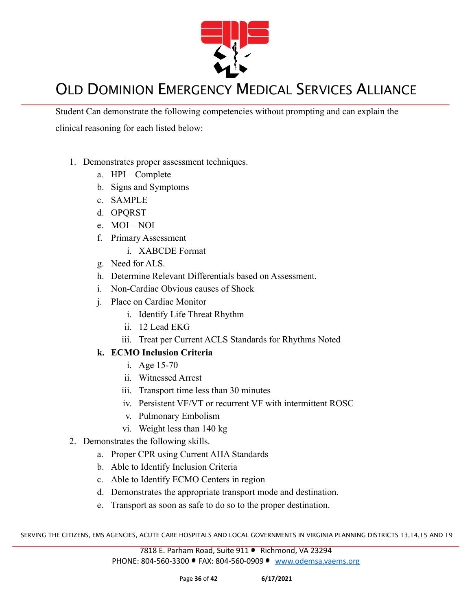

Student Can demonstrate the following competencies without prompting and can explain the clinical reasoning for each listed below:

- 1. Demonstrates proper assessment techniques.
	- a. HPI Complete
	- b. Signs and Symptoms
	- c. SAMPLE
	- d. OPQRST
	- e. MOI NOI
	- f. Primary Assessment
		- i. XABCDE Format
	- g. Need for ALS.
	- h. Determine Relevant Differentials based on Assessment.
	- i. Non-Cardiac Obvious causes of Shock
	- j. Place on Cardiac Monitor
		- i. Identify Life Threat Rhythm
		- ii. 12 Lead EKG
		- iii. Treat per Current ACLS Standards for Rhythms Noted

#### **k. ECMO Inclusion Criteria**

- i. Age 15-70
- ii. Witnessed Arrest
- iii. Transport time less than 30 minutes
- iv. Persistent VF/VT or recurrent VF with intermittent ROSC
- v. Pulmonary Embolism
- vi. Weight less than 140 kg
- 2. Demonstrates the following skills.
	- a. Proper CPR using Current AHA Standards
	- b. Able to Identify Inclusion Criteria
	- c. Able to Identify ECMO Centers in region
	- d. Demonstrates the appropriate transport mode and destination.
	- e. Transport as soon as safe to do so to the proper destination.

SERVING THE CITIZENS, EMS AGENCIES, ACUTE CARE HOSPITALS AND LOCAL GOVERNMENTS IN VIRGINIA PLANNING DISTRICTS 13,14,15 AND 19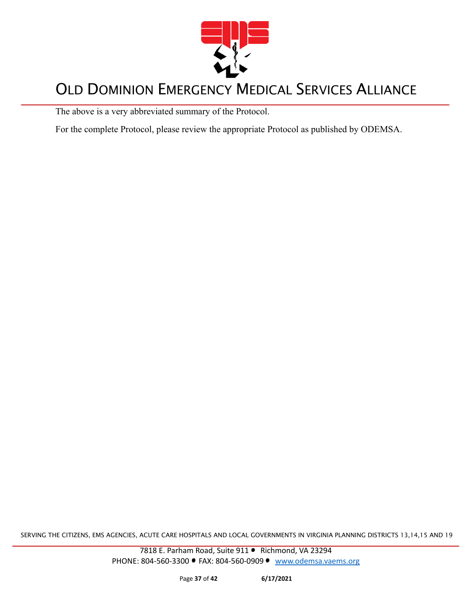

The above is a very abbreviated summary of the Protocol.

For the complete Protocol, please review the appropriate Protocol as published by ODEMSA.

SERVING THE CITIZENS, EMS AGENCIES, ACUTE CARE HOSPITALS AND LOCAL GOVERNMENTS IN VIRGINIA PLANNING DISTRICTS 13,14,15 AND 19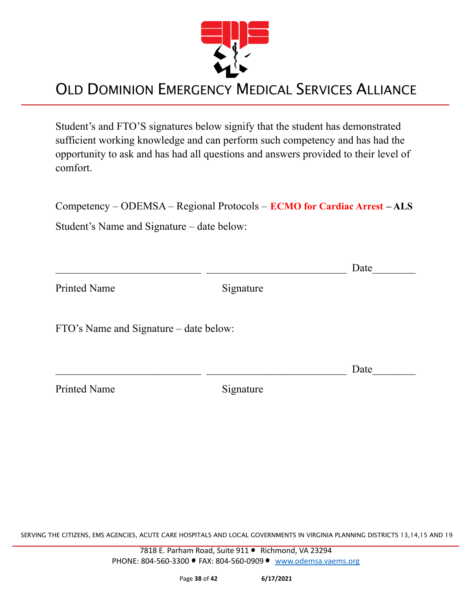

Student's and FTO'S signatures below signify that the student has demonstrated sufficient working knowledge and can perform such competency and has had the opportunity to ask and has had all questions and answers provided to their level of comfort.

Competency – ODEMSA – Regional Protocols – **ECMO for Cardiac Arrest – ALS**

Student's Name and Signature – date below:

|                                        |           | Date |
|----------------------------------------|-----------|------|
| <b>Printed Name</b>                    | Signature |      |
| FTO's Name and Signature – date below: |           |      |
|                                        |           | Date |
| <b>Printed Name</b>                    | Signature |      |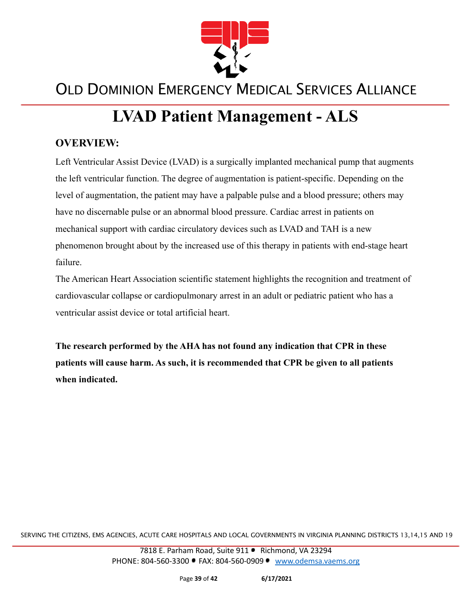

# **LVAD Patient Management - ALS**

#### **OVERVIEW:**

Left Ventricular Assist Device (LVAD) is a surgically implanted mechanical pump that augments the left ventricular function. The degree of augmentation is patient-specific. Depending on the level of augmentation, the patient may have a palpable pulse and a blood pressure; others may have no discernable pulse or an abnormal blood pressure. Cardiac arrest in patients on mechanical support with cardiac circulatory devices such as LVAD and TAH is a new phenomenon brought about by the increased use of this therapy in patients with end-stage heart failure.

The American Heart Association scientific statement highlights the recognition and treatment of cardiovascular collapse or cardiopulmonary arrest in an adult or pediatric patient who has a ventricular assist device or total artificial heart.

**The research performed by the AHA has not found any indication that CPR in these patients will cause harm. As such, it is recommended that CPR be given to all patients when indicated.**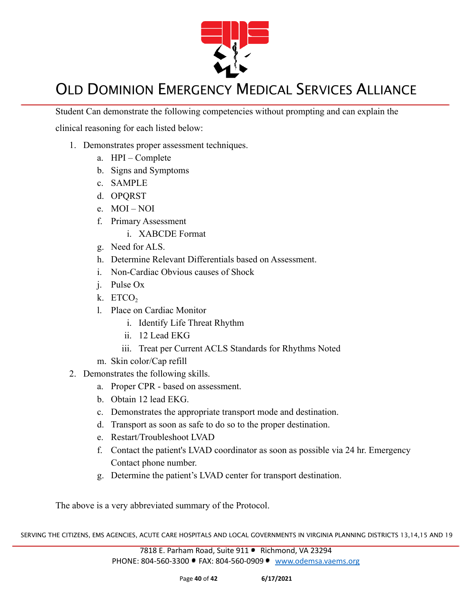

Student Can demonstrate the following competencies without prompting and can explain the

clinical reasoning for each listed below:

- 1. Demonstrates proper assessment techniques.
	- a. HPI Complete
	- b. Signs and Symptoms
	- c. SAMPLE
	- d. OPQRST
	- e. MOI NOI
	- f. Primary Assessment
		- i. XABCDE Format
	- g. Need for ALS.
	- h. Determine Relevant Differentials based on Assessment.
	- i. Non-Cardiac Obvious causes of Shock
	- j. Pulse Ox
	- $k.$  ETCO<sub>2</sub>
	- l. Place on Cardiac Monitor
		- i. Identify Life Threat Rhythm
		- ii. 12 Lead EKG
		- iii. Treat per Current ACLS Standards for Rhythms Noted
	- m. Skin color/Cap refill
- 2. Demonstrates the following skills.
	- a. Proper CPR based on assessment.
	- b. Obtain 12 lead EKG.
	- c. Demonstrates the appropriate transport mode and destination.
	- d. Transport as soon as safe to do so to the proper destination.
	- e. Restart/Troubleshoot LVAD
	- f. Contact the patient's LVAD coordinator as soon as possible via 24 hr. Emergency Contact phone number.
	- g. Determine the patient's LVAD center for transport destination.

The above is a very abbreviated summary of the Protocol.

SERVING THE CITIZENS, EMS AGENCIES, ACUTE CARE HOSPITALS AND LOCAL GOVERNMENTS IN VIRGINIA PLANNING DISTRICTS 13,14,15 AND 19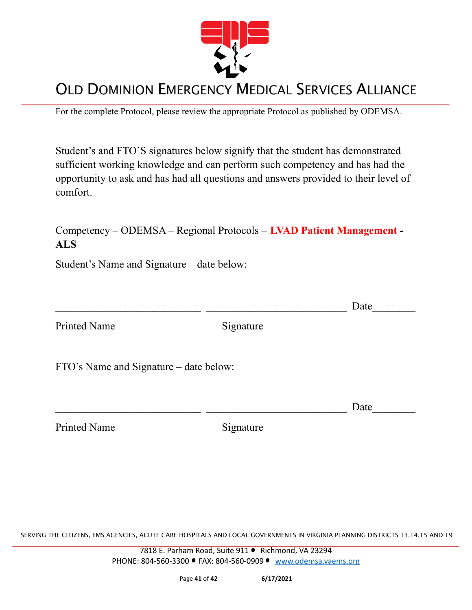

For the complete Protocol, please review the appropriate Protocol as published by ODEMSA.

Student's and FTO'S signatures below signify that the student has demonstrated sufficient working knowledge and can perform such competency and has had the opportunity to ask and has had all questions and answers provided to their level of comfort.

Competency – ODEMSA – Regional Protocols – **LVAD Patient Management - ALS**

Student's Name and Signature – date below:

|                                        |           | Date |
|----------------------------------------|-----------|------|
| <b>Printed Name</b>                    | Signature |      |
| FTO's Name and Signature – date below: |           |      |
|                                        |           | Date |
| <b>Printed Name</b>                    | Signature |      |

SERVING THE CITIZENS, EMS AGENCIES, ACUTE CARE HOSPITALS AND LOCAL GOVERNMENTS IN VIRGINIA PLANNING DISTRICTS 13,14,15 AND 19